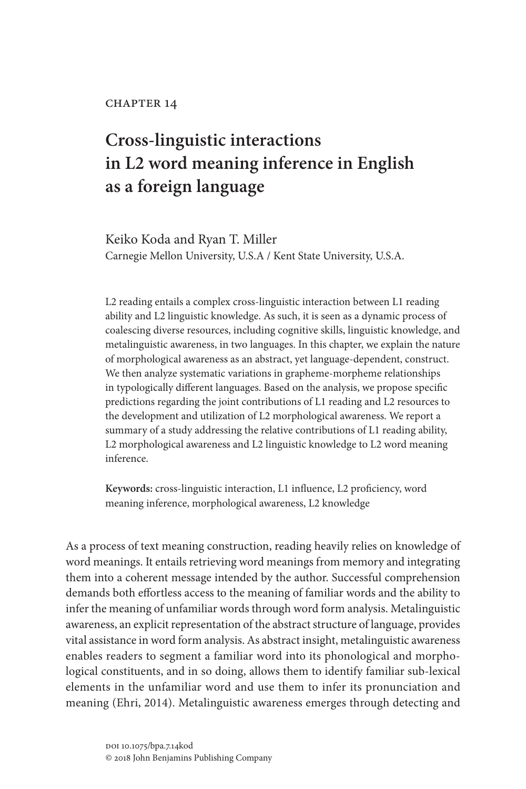# **Cross-linguistic interactions in L2 word meaning inference in English as a foreign language**

Keiko Koda and Ryan T. Miller Carnegie Mellon University, U.S.A / Kent State University, U.S.A.

L2 reading entails a complex cross-linguistic interaction between L1 reading ability and L2 linguistic knowledge. As such, it is seen as a dynamic process of coalescing diverse resources, including cognitive skills, linguistic knowledge, and metalinguistic awareness, in two languages. In this chapter, we explain the nature of morphological awareness as an abstract, yet language-dependent, construct. We then analyze systematic variations in grapheme-morpheme relationships in typologically different languages. Based on the analysis, we propose specific predictions regarding the joint contributions of L1 reading and L2 resources to the development and utilization of L2 morphological awareness. We report a summary of a study addressing the relative contributions of L1 reading ability, L2 morphological awareness and L2 linguistic knowledge to L2 word meaning inference.

**Keywords:** cross-linguistic interaction, L1 influence, L2 proficiency, word meaning inference, morphological awareness, L2 knowledge

As a process of text meaning construction, reading heavily relies on knowledge of word meanings. It entails retrieving word meanings from memory and integrating them into a coherent message intended by the author. Successful comprehension demands both effortless access to the meaning of familiar words and the ability to infer the meaning of unfamiliar words through word form analysis. Metalinguistic awareness, an explicit representation of the abstract structure of language, provides vital assistance in word form analysis. As abstract insight, metalinguistic awareness enables readers to segment a familiar word into its phonological and morphological constituents, and in so doing, allows them to identify familiar sub-lexical elements in the unfamiliar word and use them to infer its pronunciation and meaning (Ehri, 2014). Metalinguistic awareness emerges through detecting and

> doi 10.1075/bpa.7.14kod © 2018 John Benjamins Publishing Company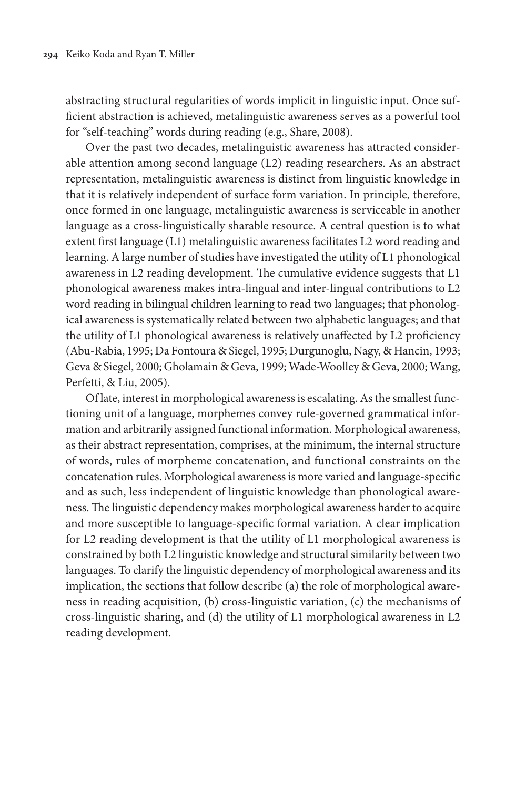abstracting structural regularities of words implicit in linguistic input. Once sufficient abstraction is achieved, metalinguistic awareness serves as a powerful tool for "self-teaching" words during reading (e.g., Share, 2008).

Over the past two decades, metalinguistic awareness has attracted considerable attention among second language (L2) reading researchers. As an abstract representation, metalinguistic awareness is distinct from linguistic knowledge in that it is relatively independent of surface form variation. In principle, therefore, once formed in one language, metalinguistic awareness is serviceable in another language as a cross-linguistically sharable resource. A central question is to what extent first language (L1) metalinguistic awareness facilitates L2 word reading and learning. A large number of studies have investigated the utility of L1 phonological awareness in L2 reading development. The cumulative evidence suggests that L1 phonological awareness makes intra-lingual and inter-lingual contributions to L2 word reading in bilingual children learning to read two languages; that phonological awareness is systematically related between two alphabetic languages; and that the utility of L1 phonological awareness is relatively unaffected by L2 proficiency (Abu-Rabia, 1995; Da Fontoura & Siegel, 1995; Durgunoglu, Nagy, & Hancin, 1993; Geva & Siegel, 2000; Gholamain & Geva, 1999; Wade-Woolley & Geva, 2000; Wang, Perfetti, & Liu, 2005).

Of late, interest in morphological awareness is escalating. As the smallest functioning unit of a language, morphemes convey rule-governed grammatical information and arbitrarily assigned functional information. Morphological awareness, as their abstract representation, comprises, at the minimum, the internal structure of words, rules of morpheme concatenation, and functional constraints on the concatenation rules. Morphological awareness is more varied and language-specific and as such, less independent of linguistic knowledge than phonological awareness. The linguistic dependency makes morphological awareness harder to acquire and more susceptible to language-specific formal variation. A clear implication for L2 reading development is that the utility of L1 morphological awareness is constrained by both L2 linguistic knowledge and structural similarity between two languages. To clarify the linguistic dependency of morphological awareness and its implication, the sections that follow describe (a) the role of morphological awareness in reading acquisition, (b) cross-linguistic variation, (c) the mechanisms of cross-linguistic sharing, and (d) the utility of L1 morphological awareness in L2 reading development.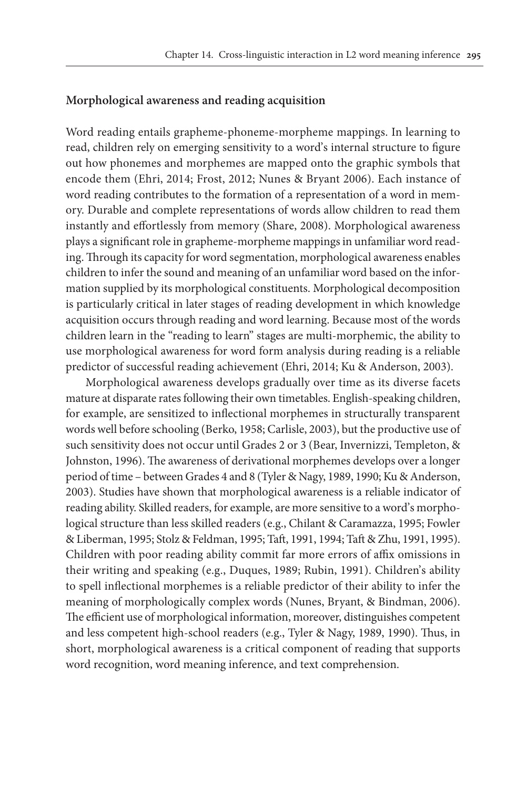# **Morphological awareness and reading acquisition**

Word reading entails grapheme-phoneme-morpheme mappings. In learning to read, children rely on emerging sensitivity to a word's internal structure to figure out how phonemes and morphemes are mapped onto the graphic symbols that encode them (Ehri, 2014; Frost, 2012; Nunes & Bryant 2006). Each instance of word reading contributes to the formation of a representation of a word in memory. Durable and complete representations of words allow children to read them instantly and effortlessly from memory (Share, 2008). Morphological awareness plays a significant role in grapheme-morpheme mappings in unfamiliar word reading. Through its capacity for word segmentation, morphological awareness enables children to infer the sound and meaning of an unfamiliar word based on the information supplied by its morphological constituents. Morphological decomposition is particularly critical in later stages of reading development in which knowledge acquisition occurs through reading and word learning. Because most of the words children learn in the "reading to learn" stages are multi-morphemic, the ability to use morphological awareness for word form analysis during reading is a reliable predictor of successful reading achievement (Ehri, 2014; Ku & Anderson, 2003).

Morphological awareness develops gradually over time as its diverse facets mature at disparate rates following their own timetables. English-speaking children, for example, are sensitized to inflectional morphemes in structurally transparent words well before schooling (Berko, 1958; Carlisle, 2003), but the productive use of such sensitivity does not occur until Grades 2 or 3 (Bear, Invernizzi, Templeton, & Johnston, 1996). The awareness of derivational morphemes develops over a longer period of time – between Grades 4 and 8 (Tyler & Nagy, 1989, 1990; Ku & Anderson, 2003). Studies have shown that morphological awareness is a reliable indicator of reading ability. Skilled readers, for example, are more sensitive to a word's morphological structure than less skilled readers (e.g., Chilant & Caramazza, 1995; Fowler & Liberman, 1995; Stolz & Feldman, 1995; Taft, 1991, 1994; Taft & Zhu, 1991, 1995). Children with poor reading ability commit far more errors of affix omissions in their writing and speaking (e.g., Duques, 1989; Rubin, 1991). Children's ability to spell inflectional morphemes is a reliable predictor of their ability to infer the meaning of morphologically complex words (Nunes, Bryant, & Bindman, 2006). The efficient use of morphological information, moreover, distinguishes competent and less competent high-school readers (e.g., Tyler & Nagy, 1989, 1990). Thus, in short, morphological awareness is a critical component of reading that supports word recognition, word meaning inference, and text comprehension.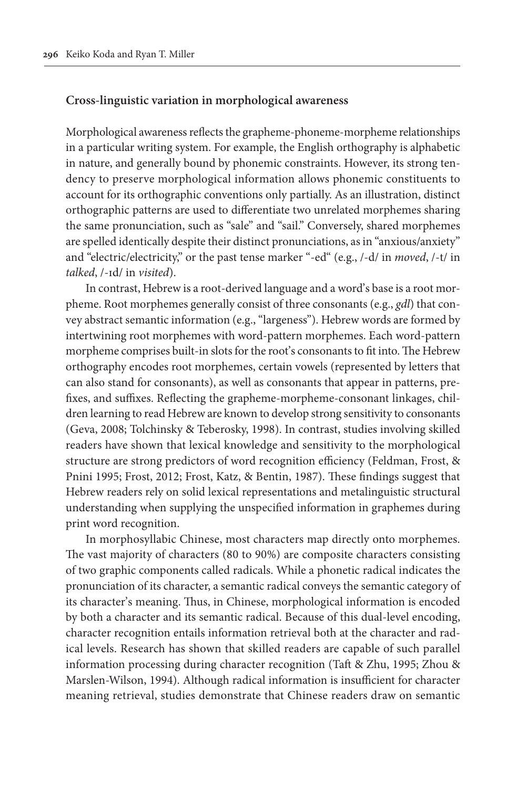# **Cross-linguistic variation in morphological awareness**

Morphological awareness reflects the grapheme-phoneme-morpheme relationships in a particular writing system. For example, the English orthography is alphabetic in nature, and generally bound by phonemic constraints. However, its strong tendency to preserve morphological information allows phonemic constituents to account for its orthographic conventions only partially. As an illustration, distinct orthographic patterns are used to differentiate two unrelated morphemes sharing the same pronunciation, such as "sale" and "sail." Conversely, shared morphemes are spelled identically despite their distinct pronunciations, as in "anxious/anxiety" and "electric/electricity," or the past tense marker "-ed" (e.g., /-d/ in *moved*, /-t/ in *talked*, /-ɪd/ in *visited*).

In contrast, Hebrew is a root-derived language and a word's base is a root morpheme. Root morphemes generally consist of three consonants (e.g., *gdl*) that convey abstract semantic information (e.g., "largeness"). Hebrew words are formed by intertwining root morphemes with word-pattern morphemes. Each word-pattern morpheme comprises built-in slots for the root's consonants to fit into. The Hebrew orthography encodes root morphemes, certain vowels (represented by letters that can also stand for consonants), as well as consonants that appear in patterns, prefixes, and suffixes. Reflecting the grapheme-morpheme-consonant linkages, children learning to read Hebrew are known to develop strong sensitivity to consonants (Geva, 2008; Tolchinsky & Teberosky, 1998). In contrast, studies involving skilled readers have shown that lexical knowledge and sensitivity to the morphological structure are strong predictors of word recognition efficiency (Feldman, Frost, & Pnini 1995; Frost, 2012; Frost, Katz, & Bentin, 1987). These findings suggest that Hebrew readers rely on solid lexical representations and metalinguistic structural understanding when supplying the unspecified information in graphemes during print word recognition.

In morphosyllabic Chinese, most characters map directly onto morphemes. The vast majority of characters (80 to 90%) are composite characters consisting of two graphic components called radicals. While a phonetic radical indicates the pronunciation of its character, a semantic radical conveys the semantic category of its character's meaning. Thus, in Chinese, morphological information is encoded by both a character and its semantic radical. Because of this dual-level encoding, character recognition entails information retrieval both at the character and radical levels. Research has shown that skilled readers are capable of such parallel information processing during character recognition (Taft & Zhu, 1995; Zhou & Marslen-Wilson, 1994). Although radical information is insufficient for character meaning retrieval, studies demonstrate that Chinese readers draw on semantic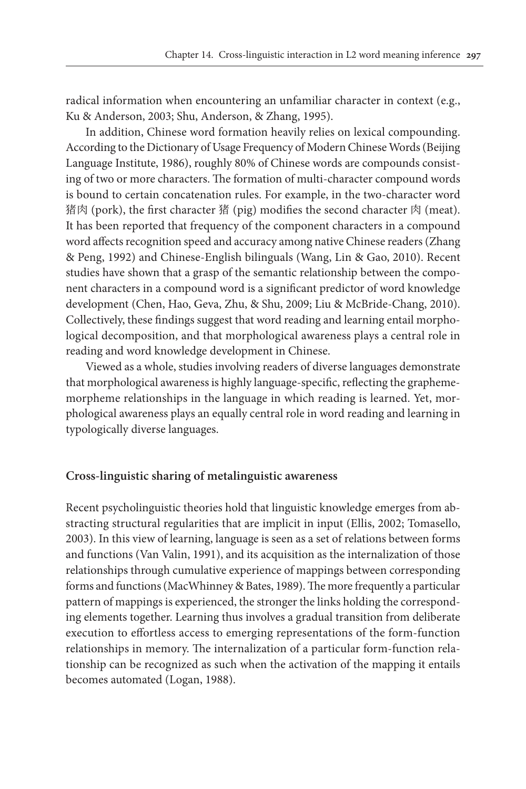radical information when encountering an unfamiliar character in context (e.g., Ku & Anderson, 2003; Shu, Anderson, & Zhang, 1995).

In addition, Chinese word formation heavily relies on lexical compounding. According to the Dictionary of Usage Frequency of Modern Chinese Words (Beijing Language Institute, 1986), roughly 80% of Chinese words are compounds consisting of two or more characters. The formation of multi-character compound words is bound to certain concatenation rules. For example, in the two-character word 猪肉 (pork), the first character 猪 (pig) modifies the second character 肉 (meat). It has been reported that frequency of the component characters in a compound word affects recognition speed and accuracy among native Chinese readers (Zhang & Peng, 1992) and Chinese-English bilinguals (Wang, Lin & Gao, 2010). Recent studies have shown that a grasp of the semantic relationship between the component characters in a compound word is a significant predictor of word knowledge development (Chen, Hao, Geva, Zhu, & Shu, 2009; Liu & McBride-Chang, 2010). Collectively, these findings suggest that word reading and learning entail morphological decomposition, and that morphological awareness plays a central role in reading and word knowledge development in Chinese.

Viewed as a whole, studies involving readers of diverse languages demonstrate that morphological awareness is highly language-specific, reflecting the graphememorpheme relationships in the language in which reading is learned. Yet, morphological awareness plays an equally central role in word reading and learning in typologically diverse languages.

# **Cross-linguistic sharing of metalinguistic awareness**

Recent psycholinguistic theories hold that linguistic knowledge emerges from abstracting structural regularities that are implicit in input (Ellis, 2002; Tomasello, 2003). In this view of learning, language is seen as a set of relations between forms and functions (Van Valin, 1991), and its acquisition as the internalization of those relationships through cumulative experience of mappings between corresponding forms and functions (MacWhinney & Bates, 1989). The more frequently a particular pattern of mappings is experienced, the stronger the links holding the corresponding elements together. Learning thus involves a gradual transition from deliberate execution to effortless access to emerging representations of the form-function relationships in memory. The internalization of a particular form-function relationship can be recognized as such when the activation of the mapping it entails becomes automated (Logan, 1988).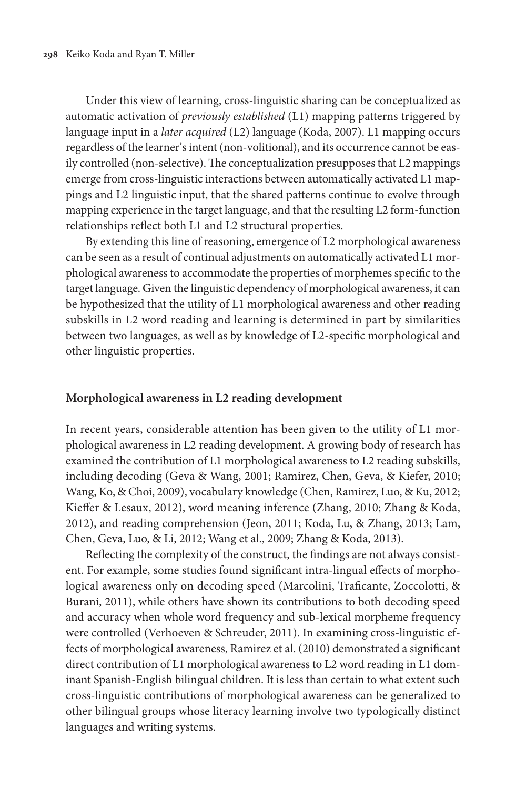Under this view of learning, cross-linguistic sharing can be conceptualized as automatic activation of *previously established* (L1) mapping patterns triggered by language input in a *later acquired* (L2) language (Koda, 2007). L1 mapping occurs regardless of the learner's intent (non-volitional), and its occurrence cannot be easily controlled (non-selective). The conceptualization presupposes that L2 mappings emerge from cross-linguistic interactions between automatically activated L1 mappings and L2 linguistic input, that the shared patterns continue to evolve through mapping experience in the target language, and that the resulting L2 form-function relationships reflect both L1 and L2 structural properties.

By extending this line of reasoning, emergence of L2 morphological awareness can be seen as a result of continual adjustments on automatically activated L1 morphological awareness to accommodate the properties of morphemes specific to the target language. Given the linguistic dependency of morphological awareness, it can be hypothesized that the utility of L1 morphological awareness and other reading subskills in L2 word reading and learning is determined in part by similarities between two languages, as well as by knowledge of L2-specific morphological and other linguistic properties.

#### **Morphological awareness in L2 reading development**

In recent years, considerable attention has been given to the utility of L1 morphological awareness in L2 reading development. A growing body of research has examined the contribution of L1 morphological awareness to L2 reading subskills, including decoding (Geva & Wang, 2001; Ramirez, Chen, Geva, & Kiefer, 2010; Wang, Ko, & Choi, 2009), vocabulary knowledge (Chen, Ramirez, Luo, & Ku, 2012; Kieffer & Lesaux, 2012), word meaning inference (Zhang, 2010; Zhang & Koda, 2012), and reading comprehension (Jeon, 2011; Koda, Lu, & Zhang, 2013; Lam, Chen, Geva, Luo, & Li, 2012; Wang et al., 2009; Zhang & Koda, 2013).

Reflecting the complexity of the construct, the findings are not always consistent. For example, some studies found significant intra-lingual effects of morphological awareness only on decoding speed (Marcolini, Traficante, Zoccolotti, & Burani, 2011), while others have shown its contributions to both decoding speed and accuracy when whole word frequency and sub-lexical morpheme frequency were controlled (Verhoeven & Schreuder, 2011). In examining cross-linguistic effects of morphological awareness, Ramirez et al. (2010) demonstrated a significant direct contribution of L1 morphological awareness to L2 word reading in L1 dominant Spanish-English bilingual children. It is less than certain to what extent such cross-linguistic contributions of morphological awareness can be generalized to other bilingual groups whose literacy learning involve two typologically distinct languages and writing systems.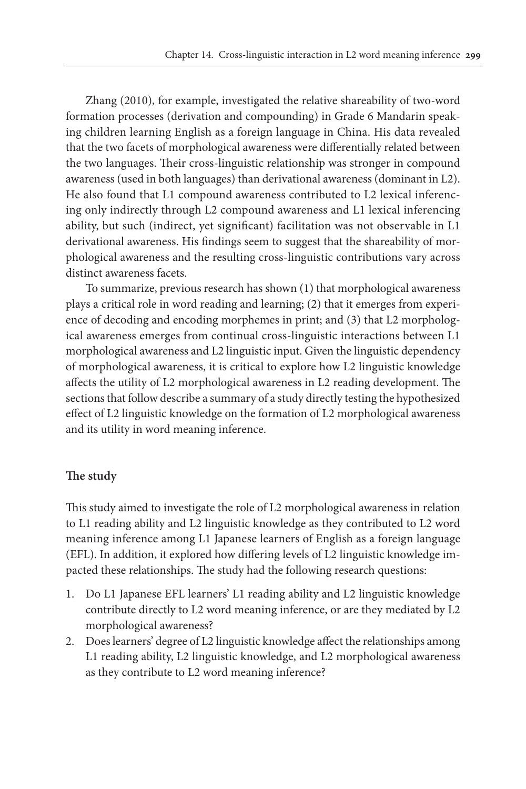Zhang (2010), for example, investigated the relative shareability of two-word formation processes (derivation and compounding) in Grade 6 Mandarin speaking children learning English as a foreign language in China. His data revealed that the two facets of morphological awareness were differentially related between the two languages. Their cross-linguistic relationship was stronger in compound awareness (used in both languages) than derivational awareness (dominant in L2). He also found that L1 compound awareness contributed to L2 lexical inferencing only indirectly through L2 compound awareness and L1 lexical inferencing ability, but such (indirect, yet significant) facilitation was not observable in L1 derivational awareness. His findings seem to suggest that the shareability of morphological awareness and the resulting cross-linguistic contributions vary across distinct awareness facets.

To summarize, previous research has shown (1) that morphological awareness plays a critical role in word reading and learning; (2) that it emerges from experience of decoding and encoding morphemes in print; and (3) that L2 morphological awareness emerges from continual cross-linguistic interactions between L1 morphological awareness and L2 linguistic input. Given the linguistic dependency of morphological awareness, it is critical to explore how L2 linguistic knowledge affects the utility of L2 morphological awareness in L2 reading development. The sections that follow describe a summary of a study directly testing the hypothesized effect of L2 linguistic knowledge on the formation of L2 morphological awareness and its utility in word meaning inference.

# **The study**

This study aimed to investigate the role of L2 morphological awareness in relation to L1 reading ability and L2 linguistic knowledge as they contributed to L2 word meaning inference among L1 Japanese learners of English as a foreign language (EFL). In addition, it explored how differing levels of L2 linguistic knowledge impacted these relationships. The study had the following research questions:

- 1. Do L1 Japanese EFL learners' L1 reading ability and L2 linguistic knowledge contribute directly to L2 word meaning inference, or are they mediated by L2 morphological awareness?
- 2. Does learners' degree of L2 linguistic knowledge affect the relationships among L1 reading ability, L2 linguistic knowledge, and L2 morphological awareness as they contribute to L2 word meaning inference?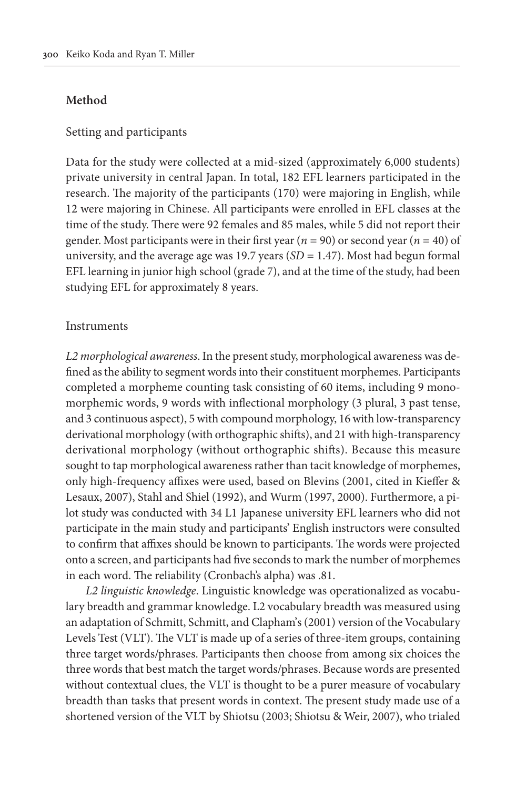# **Method**

#### Setting and participants

Data for the study were collected at a mid-sized (approximately 6,000 students) private university in central Japan. In total, 182 EFL learners participated in the research. The majority of the participants (170) were majoring in English, while 12 were majoring in Chinese. All participants were enrolled in EFL classes at the time of the study. There were 92 females and 85 males, while 5 did not report their gender. Most participants were in their first year (*n* = 90) or second year (*n* = 40) of university, and the average age was 19.7 years (*SD* = 1.47). Most had begun formal EFL learning in junior high school (grade 7), and at the time of the study, had been studying EFL for approximately 8 years.

#### Instruments

*L2 morphological awareness*. In the present study, morphological awareness was defined as the ability to segment words into their constituent morphemes. Participants completed a morpheme counting task consisting of 60 items, including 9 monomorphemic words, 9 words with inflectional morphology (3 plural, 3 past tense, and 3 continuous aspect), 5 with compound morphology, 16 with low-transparency derivational morphology (with orthographic shifts), and 21 with high-transparency derivational morphology (without orthographic shifts). Because this measure sought to tap morphological awareness rather than tacit knowledge of morphemes, only high-frequency affixes were used, based on Blevins (2001, cited in Kieffer & Lesaux, 2007), Stahl and Shiel (1992), and Wurm (1997, 2000). Furthermore, a pilot study was conducted with 34 L1 Japanese university EFL learners who did not participate in the main study and participants' English instructors were consulted to confirm that affixes should be known to participants. The words were projected onto a screen, and participants had five seconds to mark the number of morphemes in each word. The reliability (Cronbach's alpha) was .81.

*L2 linguistic knowledge*. Linguistic knowledge was operationalized as vocabulary breadth and grammar knowledge. L2 vocabulary breadth was measured using an adaptation of Schmitt, Schmitt, and Clapham's (2001) version of the Vocabulary Levels Test (VLT). The VLT is made up of a series of three-item groups, containing three target words/phrases. Participants then choose from among six choices the three words that best match the target words/phrases. Because words are presented without contextual clues, the VLT is thought to be a purer measure of vocabulary breadth than tasks that present words in context. The present study made use of a shortened version of the VLT by Shiotsu (2003; Shiotsu & Weir, 2007), who trialed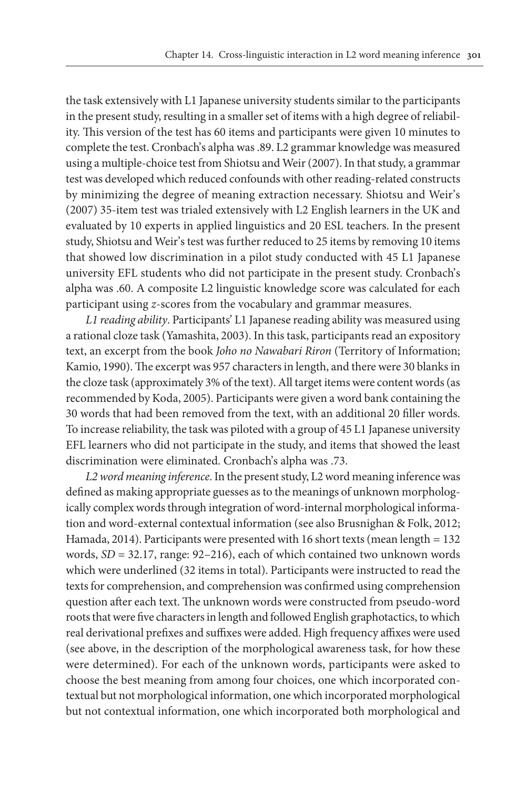the task extensively with L1 Japanese university students similar to the participants in the present study, resulting in a smaller set of items with a high degree of reliability. This version of the test has 60 items and participants were given 10 minutes to complete the test. Cronbach's alpha was .89. L2 grammar knowledge was measured using a multiple-choice test from Shiotsu and Weir (2007). In that study, a grammar test was developed which reduced confounds with other reading-related constructs by minimizing the degree of meaning extraction necessary. Shiotsu and Weir's (2007) 35-item test was trialed extensively with L2 English learners in the UK and evaluated by 10 experts in applied linguistics and 20 ESL teachers. In the present study, Shiotsu and Weir's test was further reduced to 25 items by removing 10 items that showed low discrimination in a pilot study conducted with 45 L1 Japanese university EFL students who did not participate in the present study. Cronbach's alpha was .60. A composite L2 linguistic knowledge score was calculated for each participant using *z*-scores from the vocabulary and grammar measures.

*L1 reading ability*. Participants' L1 Japanese reading ability was measured using a rational cloze task (Yamashita, 2003). In this task, participants read an expository text, an excerpt from the book *Joho no Nawabari Riron* (Territory of Information; Kamio, 1990). The excerpt was 957 characters in length, and there were 30 blanks in the cloze task (approximately 3% of the text). All target items were content words (as recommended by Koda, 2005). Participants were given a word bank containing the 30 words that had been removed from the text, with an additional 20 filler words. To increase reliability, the task was piloted with a group of 45 L1 Japanese university EFL learners who did not participate in the study, and items that showed the least discrimination were eliminated. Cronbach's alpha was .73.

*L2 word meaning inference*. In the present study, L2 word meaning inference was defined as making appropriate guesses as to the meanings of unknown morphologically complex words through integration of word-internal morphological information and word-external contextual information (see also Brusnighan & Folk, 2012; Hamada, 2014). Participants were presented with 16 short texts (mean length = 132 words, *SD* = 32.17, range: 92–216), each of which contained two unknown words which were underlined (32 items in total). Participants were instructed to read the texts for comprehension, and comprehension was confirmed using comprehension question after each text. The unknown words were constructed from pseudo-word roots that were five characters in length and followed English graphotactics, to which real derivational prefixes and suffixes were added. High frequency affixes were used (see above, in the description of the morphological awareness task, for how these were determined). For each of the unknown words, participants were asked to choose the best meaning from among four choices, one which incorporated contextual but not morphological information, one which incorporated morphological but not contextual information, one which incorporated both morphological and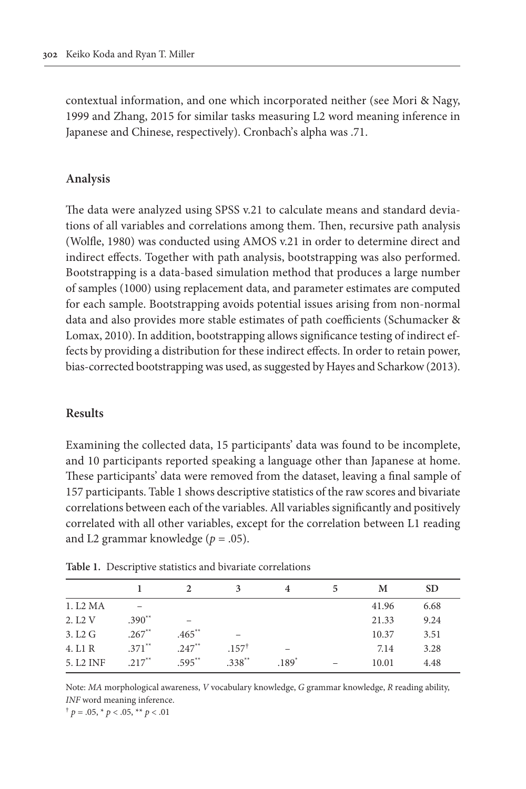contextual information, and one which incorporated neither (see Mori & Nagy, 1999 and Zhang, 2015 for similar tasks measuring L2 word meaning inference in Japanese and Chinese, respectively). Cronbach's alpha was .71.

#### **Analysis**

The data were analyzed using SPSS v.21 to calculate means and standard deviations of all variables and correlations among them. Then, recursive path analysis (Wolfle, 1980) was conducted using AMOS v.21 in order to determine direct and indirect effects. Together with path analysis, bootstrapping was also performed. Bootstrapping is a data-based simulation method that produces a large number of samples (1000) using replacement data, and parameter estimates are computed for each sample. Bootstrapping avoids potential issues arising from non-normal data and also provides more stable estimates of path coefficients (Schumacker & Lomax, 2010). In addition, bootstrapping allows significance testing of indirect effects by providing a distribution for these indirect effects. In order to retain power, bias-corrected bootstrapping was used, as suggested by Hayes and Scharkow (2013).

#### **Results**

Examining the collected data, 15 participants' data was found to be incomplete, and 10 participants reported speaking a language other than Japanese at home. These participants' data were removed from the dataset, leaving a final sample of 157 participants. Table 1 shows descriptive statistics of the raw scores and bivariate correlations between each of the variables. All variables significantly and positively correlated with all other variables, except for the correlation between L1 reading and L2 grammar knowledge  $(p=.05)$ .

|                       |          |          | 3                | 4       | M     | <b>SD</b> |
|-----------------------|----------|----------|------------------|---------|-------|-----------|
| 1. L2 MA              |          |          |                  |         | 41.96 | 6.68      |
| 2. L <sub>2</sub> V   | $.390**$ |          |                  |         | 21.33 | 9.24      |
| 3. L2 G               | $.267**$ | $.465**$ |                  |         | 10.37 | 3.51      |
| 4. L1 R               | $.371**$ | $.247**$ | $.157^{\dagger}$ |         | 7.14  | 3.28      |
| 5. L <sub>2</sub> INF | $.217**$ | $.595**$ | $.338**$         | $.189*$ | 10.01 | 4.48      |

**Table 1.** Descriptive statistics and bivariate correlations

Note: *MA* morphological awareness, *V* vocabulary knowledge, *G* grammar knowledge, *R* reading ability, *INF* word meaning inference.

 $\phi$  *p* = .05,  $\phi$  *p* < .05,  $\phi$  *p* < .01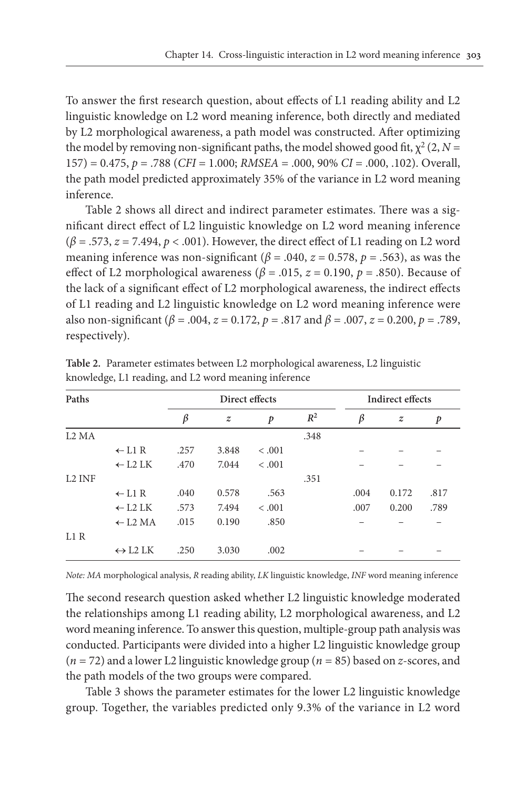To answer the first research question, about effects of L1 reading ability and L2 linguistic knowledge on L2 word meaning inference, both directly and mediated by L2 morphological awareness, a path model was constructed. After optimizing the model by removing non-significant paths, the model showed good fit,  $\chi^2$  (2, *N* = 157) = 0.475, *p* = .788 (*CFI* = 1.000; *RMSEA* = .000, 90% *CI* = .000, .102). Overall, the path model predicted approximately 35% of the variance in L2 word meaning inference.

Table 2 shows all direct and indirect parameter estimates. There was a significant direct effect of L2 linguistic knowledge on L2 word meaning inference  $(\beta = .573, z = 7.494, p < .001)$ . However, the direct effect of L1 reading on L2 word meaning inference was non-significant ( $\beta$  = .040,  $z$  = 0.578,  $p$  = .563), as was the effect of L2 morphological awareness ( $\beta$  = .015,  $z$  = 0.190,  $p$  = .850). Because of the lack of a significant effect of L2 morphological awareness, the indirect effects of L1 reading and L2 linguistic knowledge on L2 word meaning inference were also non-significant (*β* = .004, *z* = 0.172, *p* = .817 and *β* = .007, *z* = 0.200, *p* = .789, respectively).

| Paths                         |                                            |         | Direct effects   |              | Indirect effects |      |                  |                  |
|-------------------------------|--------------------------------------------|---------|------------------|--------------|------------------|------|------------------|------------------|
|                               |                                            | $\beta$ | $\boldsymbol{z}$ | $\mathbf{p}$ | $R^2$            | β    | $\boldsymbol{z}$ | $\boldsymbol{p}$ |
| L <sub>2</sub> M <sub>A</sub> |                                            |         |                  |              | .348             |      |                  |                  |
|                               | $\leftarrow$ L1 R                          | .257    | 3.848            | < .001       |                  |      |                  |                  |
|                               | $\leftarrow$ L2 LK                         | .470    | 7.044            | < .001       |                  |      |                  |                  |
| L <sub>2</sub> INF            |                                            |         |                  |              | .351             |      |                  |                  |
|                               | $\leftarrow$ L1 R                          | .040    | 0.578            | .563         |                  | .004 | 0.172            | .817             |
|                               | $\leftarrow$ L2 LK                         | .573    | 7.494            | < .001       |                  | .007 | 0.200            | .789             |
|                               | $\leftarrow$ L <sub>2</sub> M <sub>A</sub> | .015    | 0.190            | .850         |                  |      |                  |                  |
| L1R                           |                                            |         |                  |              |                  |      |                  |                  |
|                               | $\leftrightarrow$ L2 LK                    | .250    | 3.030            | .002         |                  |      |                  |                  |

**Table 2.** Parameter estimates between L2 morphological awareness, L2 linguistic knowledge, L1 reading, and L2 word meaning inference

*Note: MA* morphological analysis, *R* reading ability, *LK* linguistic knowledge, *INF* word meaning inference

The second research question asked whether L2 linguistic knowledge moderated the relationships among L1 reading ability, L2 morphological awareness, and L2 word meaning inference. To answer this question, multiple-group path analysis was conducted. Participants were divided into a higher L2 linguistic knowledge group (*n* = 72) and a lower L2 linguistic knowledge group (*n* = 85) based on *z*-scores, and the path models of the two groups were compared.

Table 3 shows the parameter estimates for the lower L2 linguistic knowledge group. Together, the variables predicted only 9.3% of the variance in L2 word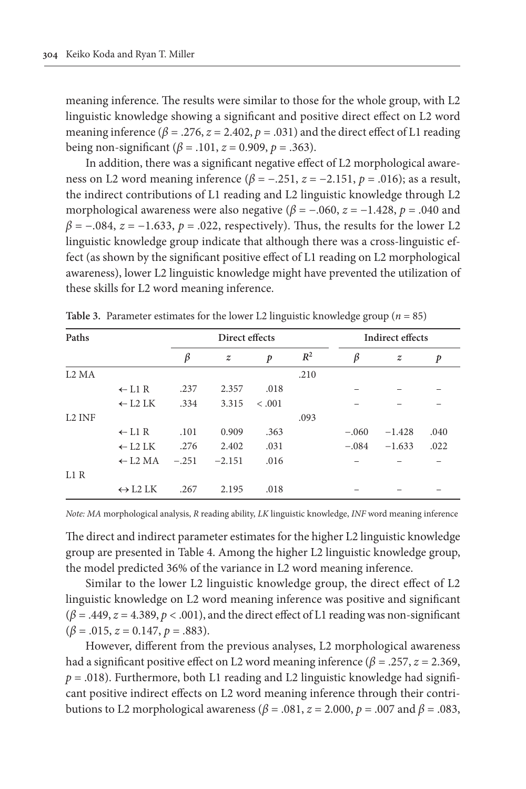meaning inference. The results were similar to those for the whole group, with L2 linguistic knowledge showing a significant and positive direct effect on L2 word meaning inference ( $\beta$  = .276,  $z$  = 2.402,  $p$  = .031) and the direct effect of L1 reading being non-significant (*β* = .101, *z* = 0.909, *p* = .363).

In addition, there was a significant negative effect of L2 morphological awareness on L2 word meaning inference  $(\beta = -.251, z = -2.151, p = .016)$ ; as a result, the indirect contributions of L1 reading and L2 linguistic knowledge through L2 morphological awareness were also negative ( $\beta$  = -.060,  $z$  = -1.428,  $p$  = .040 and  $\beta$  = -.084,  $z$  = -1.633,  $p$  = .022, respectively). Thus, the results for the lower L2 linguistic knowledge group indicate that although there was a cross-linguistic effect (as shown by the significant positive effect of L1 reading on L2 morphological awareness), lower L2 linguistic knowledge might have prevented the utilization of these skills for L2 word meaning inference.

| Paths              |                                            |         | Direct effects   |              | <b>Indirect effects</b> |         |                  |      |
|--------------------|--------------------------------------------|---------|------------------|--------------|-------------------------|---------|------------------|------|
|                    |                                            | $\beta$ | $\boldsymbol{z}$ | $\mathbf{p}$ | $R^2$                   | β       | $\boldsymbol{z}$ | p    |
| 1.2 MA             |                                            |         |                  |              | .210                    |         |                  |      |
|                    | $\leftarrow$ L1 R                          | .237    | 2.357            | .018         |                         |         |                  |      |
|                    | $\leftarrow$ L2 LK                         | .334    | 3.315            | $-.001$      |                         |         |                  |      |
| L <sub>2</sub> INF |                                            |         |                  |              | .093                    |         |                  |      |
|                    | $\leftarrow$ L1 R                          | .101    | 0.909            | .363         |                         | $-.060$ | $-1.428$         | .040 |
|                    | $\leftarrow$ L2 LK                         | .276    | 2.402            | .031         |                         | $-.084$ | $-1.633$         | .022 |
|                    | $\leftarrow$ L <sub>2</sub> M <sub>A</sub> | $-.251$ | $-2.151$         | .016         |                         |         |                  |      |
| L1R                |                                            |         |                  |              |                         |         |                  |      |
|                    | $\leftrightarrow$ L2 LK                    | .267    | 2.195            | .018         |                         |         |                  |      |

**Table 3.** Parameter estimates for the lower L2 linguistic knowledge group ( $n = 85$ )

*Note: MA* morphological analysis, *R* reading ability, *LK* linguistic knowledge, *INF* word meaning inference

The direct and indirect parameter estimates for the higher L2 linguistic knowledge group are presented in Table 4. Among the higher L2 linguistic knowledge group, the model predicted 36% of the variance in L2 word meaning inference.

Similar to the lower L2 linguistic knowledge group, the direct effect of L2 linguistic knowledge on L2 word meaning inference was positive and significant  $(\beta = .449, z = 4.389, p < .001)$ , and the direct effect of L1 reading was non-significant  $(\beta = .015, z = 0.147, p = .883).$ 

However, different from the previous analyses, L2 morphological awareness had a significant positive effect on L2 word meaning inference ( $\beta$  = .257, *z* = 2.369,  $p = .018$ ). Furthermore, both L1 reading and L2 linguistic knowledge had significant positive indirect effects on L2 word meaning inference through their contributions to L2 morphological awareness (*β* = .081, *z* = 2.000, *p* = .007 and *β* = .083,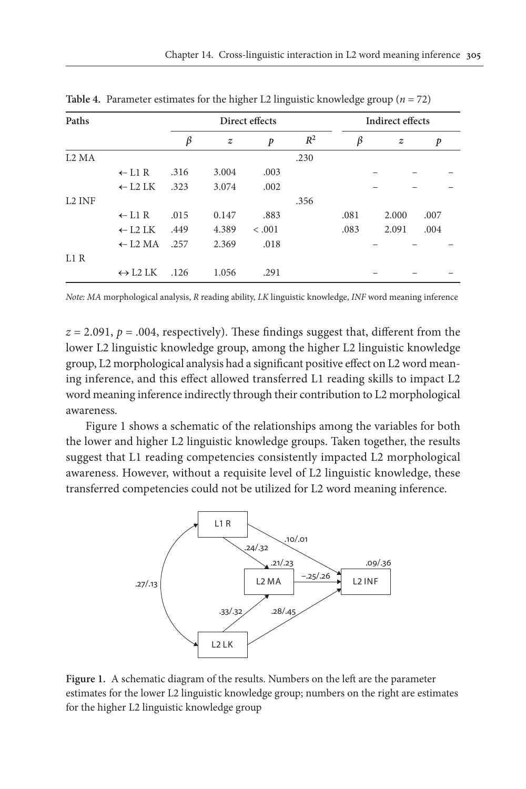| Paths                         |                                            |      |                  | Direct effects   | <b>Indirect effects</b> |      |                  |      |
|-------------------------------|--------------------------------------------|------|------------------|------------------|-------------------------|------|------------------|------|
|                               |                                            | β    | $\boldsymbol{z}$ | $\boldsymbol{p}$ | $R^2$                   | β    | $\boldsymbol{z}$ | p    |
| L <sub>2</sub> M <sub>A</sub> |                                            |      |                  |                  | .230                    |      |                  |      |
|                               | $\leftarrow$ L1 R                          | .316 | 3.004            | .003             |                         |      |                  |      |
|                               | $\leftarrow$ L2 LK                         | .323 | 3.074            | .002             |                         |      |                  |      |
| L <sub>2</sub> INF            |                                            |      |                  |                  | .356                    |      |                  |      |
|                               | $\leftarrow$ L1 R                          | .015 | 0.147            | .883             |                         | .081 | 2.000            | .007 |
|                               | $\leftarrow$ L <sub>2</sub> L <sub>K</sub> | .449 | 4.389            | < .001           |                         | .083 | 2.091            | .004 |
|                               | $\leftarrow$ L <sub>2</sub> M <sub>A</sub> | .257 | 2.369            | .018             |                         |      |                  |      |
| L1R                           |                                            |      |                  |                  |                         |      |                  |      |
|                               | $\leftrightarrow$ L2 LK                    | .126 | 1.056            | .291             |                         |      |                  |      |

**Table 4.** Parameter estimates for the higher L2 linguistic knowledge group (*n* = 72)

*Note: MA* morphological analysis, *R* reading ability, *LK* linguistic knowledge, *INF* word meaning inference

 $z = 2.091$ ,  $p = .004$ , respectively). These findings suggest that, different from the lower L2 linguistic knowledge group, among the higher L2 linguistic knowledge group, L2 morphological analysis had a significant positive effect on L2 word meaning inference, and this effect allowed transferred L1 reading skills to impact L2 word meaning inference indirectly through their contribution to L2 morphological awareness.

Figure 1 shows a schematic of the relationships among the variables for both the lower and higher L2 linguistic knowledge groups. Taken together, the results suggest that L1 reading competencies consistently impacted L2 morphological awareness. However, without a requisite level of L2 linguistic knowledge, these transferred competencies could not be utilized for L2 word meaning inference.



**Figure 1.** A schematic diagram of the results. Numbers on the left are the parameter estimates for the lower L2 linguistic knowledge group; numbers on the right are estimates for the higher L2 linguistic knowledge group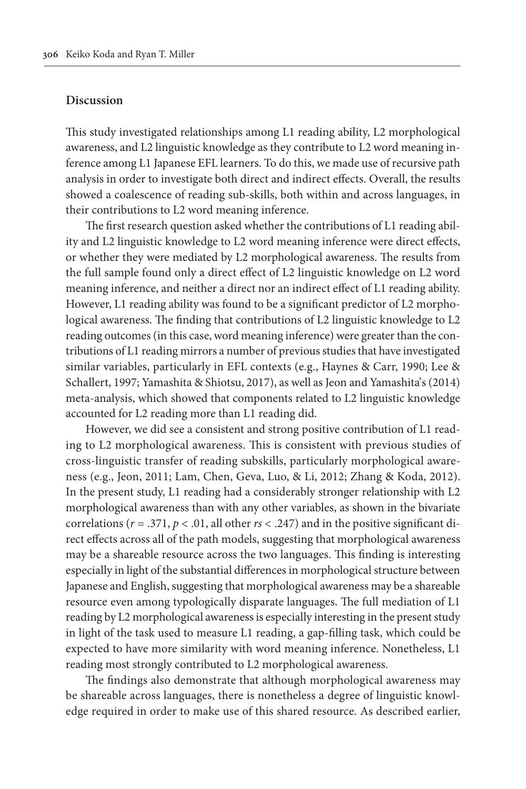#### **Discussion**

This study investigated relationships among L1 reading ability, L2 morphological awareness, and L2 linguistic knowledge as they contribute to L2 word meaning inference among L1 Japanese EFL learners. To do this, we made use of recursive path analysis in order to investigate both direct and indirect effects. Overall, the results showed a coalescence of reading sub-skills, both within and across languages, in their contributions to L2 word meaning inference.

The first research question asked whether the contributions of L1 reading ability and L2 linguistic knowledge to L2 word meaning inference were direct effects, or whether they were mediated by L2 morphological awareness. The results from the full sample found only a direct effect of L2 linguistic knowledge on L2 word meaning inference, and neither a direct nor an indirect effect of L1 reading ability. However, L1 reading ability was found to be a significant predictor of L2 morphological awareness. The finding that contributions of L2 linguistic knowledge to L2 reading outcomes (in this case, word meaning inference) were greater than the contributions of L1 reading mirrors a number of previous studies that have investigated similar variables, particularly in EFL contexts (e.g., Haynes & Carr, 1990; Lee & Schallert, 1997; Yamashita & Shiotsu, 2017), as well as Jeon and Yamashita's (2014) meta-analysis, which showed that components related to L2 linguistic knowledge accounted for L2 reading more than L1 reading did.

However, we did see a consistent and strong positive contribution of L1 reading to L2 morphological awareness. This is consistent with previous studies of cross-linguistic transfer of reading subskills, particularly morphological awareness (e.g., Jeon, 2011; Lam, Chen, Geva, Luo, & Li, 2012; Zhang & Koda, 2012). In the present study, L1 reading had a considerably stronger relationship with L2 morphological awareness than with any other variables, as shown in the bivariate correlations ( $r = .371$ ,  $p < .01$ , all other  $rs < .247$ ) and in the positive significant direct effects across all of the path models, suggesting that morphological awareness may be a shareable resource across the two languages. This finding is interesting especially in light of the substantial differences in morphological structure between Japanese and English, suggesting that morphological awareness may be a shareable resource even among typologically disparate languages. The full mediation of L1 reading by L2 morphological awareness is especially interesting in the present study in light of the task used to measure L1 reading, a gap-filling task, which could be expected to have more similarity with word meaning inference. Nonetheless, L1 reading most strongly contributed to L2 morphological awareness.

The findings also demonstrate that although morphological awareness may be shareable across languages, there is nonetheless a degree of linguistic knowledge required in order to make use of this shared resource. As described earlier,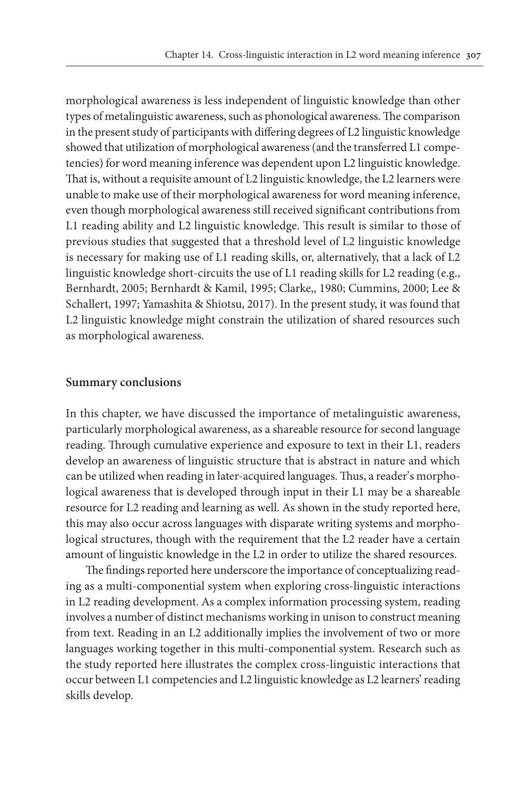morphological awareness is less independent of linguistic knowledge than other types of metalinguistic awareness, such as phonological awareness. The comparison in the present study of participants with differing degrees of L2 linguistic knowledge showed that utilization of morphological awareness (and the transferred L1 competencies) for word meaning inference was dependent upon L2 linguistic knowledge. That is, without a requisite amount of L2 linguistic knowledge, the L2 learners were unable to make use of their morphological awareness for word meaning inference, even though morphological awareness still received significant contributions from L1 reading ability and L2 linguistic knowledge. This result is similar to those of previous studies that suggested that a threshold level of L2 linguistic knowledge is necessary for making use of L1 reading skills, or, alternatively, that a lack of L2 linguistic knowledge short-circuits the use of L1 reading skills for L2 reading (e.g., Bernhardt, 2005; Bernhardt & Kamil, 1995; Clarke,, 1980; Cummins, 2000; Lee & Schallert, 1997; Yamashita & Shiotsu, 2017). In the present study, it was found that L2 linguistic knowledge might constrain the utilization of shared resources such as morphological awareness.

#### **Summary conclusions**

In this chapter, we have discussed the importance of metalinguistic awareness, particularly morphological awareness, as a shareable resource for second language reading. Through cumulative experience and exposure to text in their L1, readers develop an awareness of linguistic structure that is abstract in nature and which can be utilized when reading in later-acquired languages. Thus, a reader's morphological awareness that is developed through input in their L1 may be a shareable resource for L2 reading and learning as well. As shown in the study reported here, this may also occur across languages with disparate writing systems and morphological structures, though with the requirement that the L2 reader have a certain amount of linguistic knowledge in the L2 in order to utilize the shared resources.

The findings reported here underscore the importance of conceptualizing reading as a multi-componential system when exploring cross-linguistic interactions in L2 reading development. As a complex information processing system, reading involves a number of distinct mechanisms working in unison to construct meaning from text. Reading in an L2 additionally implies the involvement of two or more languages working together in this multi-componential system. Research such as the study reported here illustrates the complex cross-linguistic interactions that occur between L1 competencies and L2 linguistic knowledge as L2 learners' reading skills develop.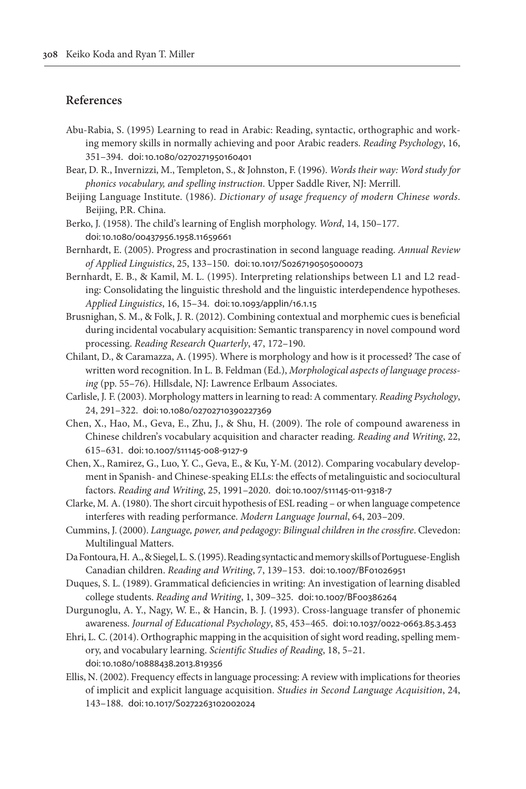# **References**

- Abu-Rabia, S. (1995) Learning to read in Arabic: Reading, syntactic, orthographic and working memory skills in normally achieving and poor Arabic readers. *Reading Psychology*, 16, 351–394. [doi:10.1080/0270271950160401](https://doi.org/10.1080/0270271950160401)
- Bear, D. R., Invernizzi, M., Templeton, S., & Johnston, F. (1996). *Words their way: Word study for phonics vocabulary, and spelling instruction*. Upper Saddle River, NJ: Merrill.
- Beijing Language Institute. (1986). *Dictionary of usage frequency of modern Chinese words*. Beijing, P.R. China.
- Berko, J. (1958). The child's learning of English morphology. *Word*, 14, 150–177. [doi:10.1080/00437956.1958.11659661](https://doi.org/	10.1080/00437956.1958.11659661)
- Bernhardt, E. (2005). Progress and procrastination in second language reading. *Annual Review of Applied Linguistics*, 25, 133–150. [doi:10.1017/S0267190505000073](https://doi.org/10.1017/S0267190505000073)
- Bernhardt, E. B., & Kamil, M. L. (1995). Interpreting relationships between L1 and L2 reading: Consolidating the linguistic threshold and the linguistic interdependence hypotheses. *Applied Linguistics*, 16, 15–34. [doi:10.1093/applin/16.1.15](https://doi.org/10.1093/applin/16.1.15)
- Brusnighan, S. M., & Folk, J. R. (2012). Combining contextual and morphemic cues is beneficial during incidental vocabulary acquisition: Semantic transparency in novel compound word processing. *Reading Research Quarterly*, 47, 172–190.
- Chilant, D., & Caramazza, A. (1995). Where is morphology and how is it processed? The case of written word recognition. In L. B. Feldman (Ed.), *Morphological aspects of language processing* (pp. 55–76). Hillsdale, NJ: Lawrence Erlbaum Associates.
- Carlisle, J. F. (2003). Morphology matters in learning to read: A commentary. *Reading Psychology*, 24, 291–322. [doi:10.1080/02702710390227369](https://doi.org/10.1080/02702710390227369)
- Chen, X., Hao, M., Geva, E., Zhu, J., & Shu, H. (2009). The role of compound awareness in Chinese children's vocabulary acquisition and character reading. *Reading and Writing*, 22, 615–631. [doi:10.1007/s11145-008-9127-9](https://doi.org/10.1007/s11145-008-9127-9)
- Chen, X., Ramirez, G., Luo, Y. C., Geva, E., & Ku, Y-M. (2012). Comparing vocabulary development in Spanish- and Chinese-speaking ELLs: the effects of metalinguistic and sociocultural factors. *Reading and Writing*, 25, 1991–2020. [doi:10.1007/s11145-011-9318-7](https://doi.org/10.1007/s11145-011-9318-7)
- Clarke, M. A. (1980). The short circuit hypothesis of ESL reading or when language competence interferes with reading performance. *Modern Language Journal*, 64, 203–209.
- Cummins, J. (2000). *Language, power, and pedagogy: Bilingual children in the crossfire*. Clevedon: Multilingual Matters.
- Da Fontoura, H. A., & Siegel, L. S. (1995). Reading syntactic and memory skills of Portuguese-English Canadian children. *Reading and Writing*, 7, 139–153. [doi:10.1007/BF01026951](https://doi.org/10.1007/BF01026951)
- Duques, S. L. (1989). Grammatical deficiencies in writing: An investigation of learning disabled college students. *Reading and Writing*, 1, 309–325. [doi:10.1007/BF00386264](https://doi.org/10.1007/BF00386264)
- Durgunoglu, A. Y., Nagy, W. E., & Hancin, B. J. (1993). Cross-language transfer of phonemic awareness. *Journal of Educational Psychology*, 85, 453–465. [doi:10.1037/0022-0663.85.3.453](https://doi.org/10.1037/0022-0663.85.3.453)
- Ehri, L. C. (2014). Orthographic mapping in the acquisition of sight word reading, spelling memory, and vocabulary learning. *Scientific Studies of Reading*, 18, 5–21. [doi:10.1080/10888438.2013.819356](https://doi.org/	10.1080/10888438.2013.819356)
- Ellis, N. (2002). Frequency effects in language processing: A review with implications for theories of implicit and explicit language acquisition. *Studies in Second Language Acquisition*, 24, 143–188. [doi:10.1017/S0272263102002024](https://doi.org/10.1017/S0272263102002024)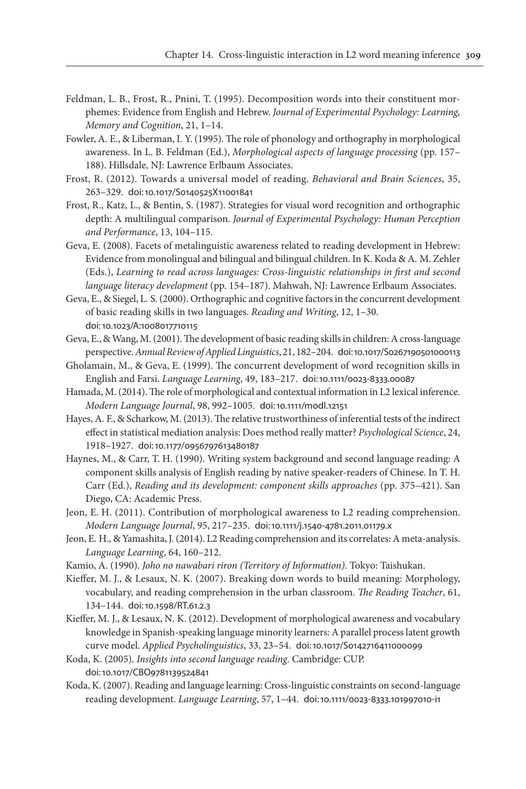- Feldman, L. B., Frost, R., Pnini, T. (1995). Decomposition words into their constituent morphemes: Evidence from English and Hebrew. *Journal of Experimental Psychology: Learning, Memory and Cognition*, 21, 1–14.
- Fowler, A. E., & Liberman, I. Y. (1995). The role of phonology and orthography in morphological awareness. In L. B. Feldman (Ed.), *Morphological aspects of language processing* (pp. 157– 188). Hillsdale, NJ: Lawrence Erlbaum Associates.
- Frost, R. (2012). Towards a universal model of reading. *Behavioral and Brain Sciences*, 35, 263–329. [doi:10.1017/S0140525X11001841](https://doi.org/10.1017/S0140525X11001841)
- Frost, R., Katz, L., & Bentin, S. (1987). Strategies for visual word recognition and orthographic depth: A multilingual comparison. *Journal of Experimental Psychology: Human Perception and Performance*, 13, 104–115.
- Geva, E. (2008). Facets of metalinguistic awareness related to reading development in Hebrew: Evidence from monolingual and bilingual and bilingual children. In K. Koda & A. M. Zehler (Eds.), *Learning to read across languages: Cross-linguistic relationships in first and second language literacy development* (pp. 154–187). Mahwah, NJ: Lawrence Erlbaum Associates.

Geva, E., & Siegel, L. S. (2000). Orthographic and cognitive factors in the concurrent development of basic reading skills in two languages. *Reading and Writing*, 12, 1–30. [doi:10.1023/A:1008017710115](https://doi.org/	10.1023/A:1008017710115)

- Geva, E., & Wang, M. (2001). The development of basic reading skills in children: A cross-language perspective. *Annual Review of Applied Linguistics*, 21, 182–204. [doi:10.1017/S0267190501000113](https://doi.org/10.1017/S0267190501000113)
- Gholamain, M., & Geva, E. (1999). The concurrent development of word recognition skills in English and Farsi. *Language Learning*, 49, 183–217. [doi:10.1111/0023-8333.00087](https://doi.org/10.1111/0023-8333.00087)
- Hamada, M. (2014). The role of morphological and contextual information in L2 lexical inference. *Modern Language Journal*, 98, 992–1005. [doi:10.1111/modl.12151](https://doi.org/10.1111/modl.12151)
- Hayes, A. F., & Scharkow, M. (2013). The relative trustworthiness of inferential tests of the indirect effect in statistical mediation analysis: Does method really matter? *Psychological Science*, 24, 1918–1927. [doi:10.1177/0956797613480187](https://doi.org/10.1177/0956797613480187)
- Haynes, M., & Carr, T. H. (1990). Writing system background and second language reading: A component skills analysis of English reading by native speaker-readers of Chinese. In T. H. Carr (Ed.), *Reading and its development: component skills approaches* (pp. 375–421). San Diego, CA: Academic Press.
- Jeon, E. H. (2011). Contribution of morphological awareness to L2 reading comprehension. *Modern Language Journal*, 95, 217–235. [doi:10.1111/j.1540-4781.2011.01179.x](https://doi.org/10.1111/j.1540-4781.2011.01179.x)
- Jeon, E. H., & Yamashita, J. (2014). L2 Reading comprehension and its correlates: A meta‐analysis. *Language Learning*, 64, 160–212.
- Kamio, A. (1990). *Joho no nawabari riron (Territory of Information)*. Tokyo: Taishukan.
- Kieffer, M. J., & Lesaux, N. K. (2007). Breaking down words to build meaning: Morphology, vocabulary, and reading comprehension in the urban classroom. *The Reading Teacher*, 61, 134–144. [doi:10.1598/RT.61.2.3](https://doi.org/10.1598/RT.61.2.3)
- Kieffer, M. J., & Lesaux, N. K. (2012). Development of morphological awareness and vocabulary knowledge in Spanish-speaking language minority learners: A parallel process latent growth curve model. *Applied Psycholinguistics*, 33, 23–54. [doi:10.1017/S0142716411000099](https://doi.org/10.1017/S0142716411000099)
- Koda, K. (2005). *Insights into second language reading*. Cambridge: CUP. [doi:10.1017/CBO9781139524841](https://doi.org/	10.1017/CBO9781139524841)
- Koda, K. (2007). Reading and language learning: Cross-linguistic constraints on second-language reading development. *Language Learning*, 57, 1–44. [doi:10.1111/0023-8333.101997010-i1](https://doi.org/10.1111/0023-8333.101997010-i1)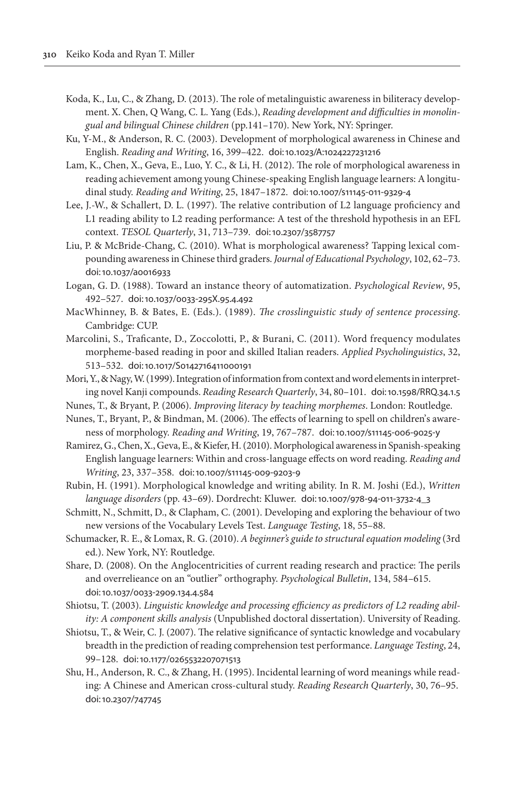- Koda, K., Lu, C., & Zhang, D. (2013). The role of metalinguistic awareness in biliteracy development. X. Chen, Q Wang, C. L. Yang (Eds.), *Reading development and difficulties in monolingual and bilingual Chinese children* (pp.141–170). New York, NY: Springer.
- Ku, Y-M., & Anderson, R. C. (2003). Development of morphological awareness in Chinese and English. *Reading and Writing*, 16, 399–422. [doi:10.1023/A:1024227231216](https://doi.org/10.1023/A:1024227231216)
- Lam, K., Chen, X., Geva, E., Luo, Y. C., & Li, H. (2012). The role of morphological awareness in reading achievement among young Chinese-speaking English language learners: A longitudinal study. *Reading and Writing*, 25, 1847–1872. [doi:10.1007/s11145-011-9329-4](https://doi.org/10.1007/s11145-011-9329-4)
- Lee, J.-W., & Schallert, D. L. (1997). The relative contribution of L2 language proficiency and L1 reading ability to L2 reading performance: A test of the threshold hypothesis in an EFL context. *TESOL Quarterly*, 31, 713–739. [doi:10.2307/3587757](https://doi.org/10.2307/3587757)
- Liu, P. & McBride-Chang, C. (2010). What is morphological awareness? Tapping lexical compounding awareness in Chinese third graders. *Journal of Educational Psychology*, 102, 62–73. [doi:10.1037/a0016933](https://doi.org/	10.1037/a0016933)
- Logan, G. D. (1988). Toward an instance theory of automatization. *Psychological Review*, 95, 492–527. [doi:10.1037/0033-295X.95.4.492](https://doi.org/10.1037/0033-295X.95.4.492)
- MacWhinney, B. & Bates, E. (Eds.). (1989). *The crosslinguistic study of sentence processing*. Cambridge: CUP.
- Marcolini, S., Traficante, D., Zoccolotti, P., & Burani, C. (2011). Word frequency modulates morpheme-based reading in poor and skilled Italian readers. *Applied Psycholinguistics*, 32, 513–532. [doi:10.1017/S0142716411000191](https://doi.org/10.1017/S0142716411000191)
- Mori, Y., & Nagy, W. (1999). Integration of information from context and word elements in interpreting novel Kanji compounds. *Reading Research Quarterly*, 34, 80–101. [doi:10.1598/RRQ.34.1.5](https://doi.org/10.1598/RRQ.34.1.5)
- Nunes, T., & Bryant, P. (2006). *Improving literacy by teaching morphemes*. London: Routledge.
- Nunes, T., Bryant, P., & Bindman, M. (2006). The effects of learning to spell on children's awareness of morphology. *Reading and Writing*, 19, 767–787. [doi:10.1007/s11145-006-9025-y](https://doi.org/10.1007/s11145-006-9025-y)
- Ramirez, G., Chen, X., Geva, E., & Kiefer, H. (2010). Morphological awareness in Spanish-speaking English language learners: Within and cross-language effects on word reading. *Reading and Writing*, 23, 337–358. [doi:10.1007/s11145-009-9203-9](https://doi.org/10.1007/s11145-009-9203-9)
- Rubin, H. (1991). Morphological knowledge and writing ability. In R. M. Joshi (Ed.), *Written language disorders* (pp. 43–69). Dordrecht: Kluwer. [doi:10.1007/978-94-011-3732-4\\_3](https://doi.org/10.1007/978-94-011-3732-4_3)
- Schmitt, N., Schmitt, D., & Clapham, C. (2001). Developing and exploring the behaviour of two new versions of the Vocabulary Levels Test. *Language Testing*, 18, 55–88.
- Schumacker, R. E., & Lomax, R. G. (2010). *A beginner's guide to structural equation modeling* (3rd ed.). New York, NY: Routledge.
- Share, D. (2008). On the Anglocentricities of current reading research and practice: The perils and overrelieance on an "outlier" orthography. *Psychological Bulletin*, 134, 584–615. [doi:10.1037/0033-2909.134.4.584](https://doi.org/	10.1037/0033-2909.134.4.584)
- Shiotsu, T. (2003). *Linguistic knowledge and processing efficiency as predictors of L2 reading ability: A component skills analysis* (Unpublished doctoral dissertation). University of Reading.
- Shiotsu, T., & Weir, C. J. (2007). The relative significance of syntactic knowledge and vocabulary breadth in the prediction of reading comprehension test performance. *Language Testing*, 24, 99–128. [doi:10.1177/0265532207071513](https://doi.org/10.1177/0265532207071513)
- Shu, H., Anderson, R. C., & Zhang, H. (1995). Incidental learning of word meanings while reading: A Chinese and American cross-cultural study. *Reading Research Quarterly*, 30, 76–95. [doi:10.2307/747745](https://doi.org/	10.2307/747745)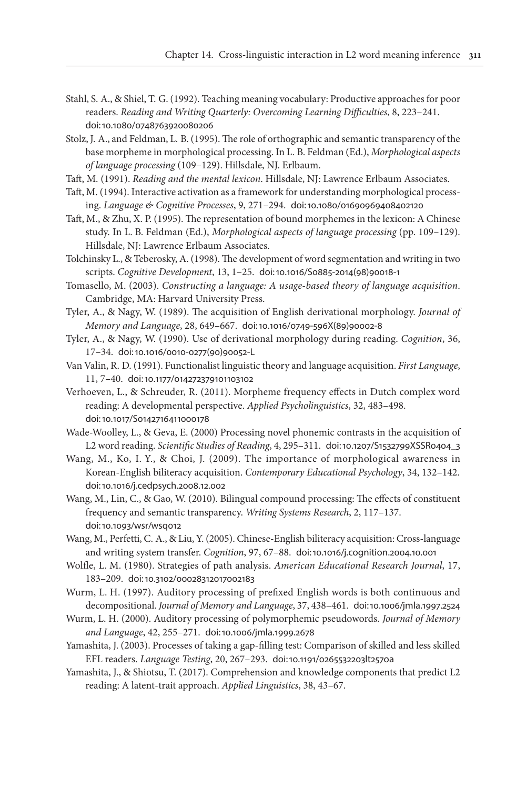- Stahl, S. A., & Shiel, T. G. (1992). Teaching meaning vocabulary: Productive approaches for poor readers. *Reading and Writing Quarterly: Overcoming Learning Difficulties*, 8, 223–241. [doi:10.1080/0748763920080206](https://doi.org/	10.1080/0748763920080206)
- Stolz, J. A., and Feldman, L. B. (1995). The role of orthographic and semantic transparency of the base morpheme in morphological processing. In L. B. Feldman (Ed.), *Morphological aspects of language processing* (109–129). Hillsdale, NJ. Erlbaum.
- Taft, M. (1991). *Reading and the mental lexicon*. Hillsdale, NJ: Lawrence Erlbaum Associates.
- Taft, M. (1994). Interactive activation as a framework for understanding morphological processing. *Language & Cognitive Processes*, 9, 271–294. [doi:10.1080/01690969408402120](https://doi.org/10.1080/01690969408402120)
- Taft, M., & Zhu, X. P. (1995). The representation of bound morphemes in the lexicon: A Chinese study. In L. B. Feldman (Ed.), *Morphological aspects of language processing* (pp. 109–129). Hillsdale, NJ: Lawrence Erlbaum Associates.
- Tolchinsky L., & Teberosky, A. (1998). The development of word segmentation and writing in two scripts. *Cognitive Development*, 13, 1–25. [doi:10.1016/S0885-2014\(98\)90018-1](https://doi.org/10.1016/S0885-2014(98)90018-1)
- Tomasello, M. (2003). *Constructing a language: A usage-based theory of language acquisition*. Cambridge, MA: Harvard University Press.
- Tyler, A., & Nagy, W. (1989). The acquisition of English derivational morphology. *Journal of Memory and Language*, 28, 649–667. [doi:10.1016/0749-596X\(89\)90002-8](https://doi.org/10.1016/0749-596X(89)90002-8)
- Tyler, A., & Nagy, W. (1990). Use of derivational morphology during reading. *Cognition*, 36, 17–34. [doi:10.1016/0010-0277\(90\)90052-L](https://doi.org/10.1016/0010-0277(90)90052-L)
- Van Valin, R. D. (1991). Functionalist linguistic theory and language acquisition. *First Language*, 11, 7–40. [doi:10.1177/014272379101103102](https://doi.org/10.1177/014272379101103102)
- Verhoeven, L., & Schreuder, R. (2011). Morpheme frequency effects in Dutch complex word reading: A developmental perspective. *Applied Psycholinguistics*, 32, 483–498. [doi:10.1017/S0142716411000178](https://doi.org/	10.1017/S0142716411000178)
- Wade-Woolley, L., & Geva, E. (2000) Processing novel phonemic contrasts in the acquisition of L2 word reading. *Scientific Studies of Reading*, 4, 295–311. [doi:10.1207/S1532799XSSR0404\\_3](https://doi.org/10.1207/S1532799XSSR0404_3)
- Wang, M., Ko, I. Y., & Choi, J. (2009). The importance of morphological awareness in Korean-English biliteracy acquisition. *Contemporary Educational Psychology*, 34, 132–142. [doi:10.1016/j.cedpsych.2008.12.002](https://doi.org/	10.1016/j.cedpsych.2008.12.002)
- Wang, M., Lin, C., & Gao, W. (2010). Bilingual compound processing: The effects of constituent frequency and semantic transparency. *Writing Systems Research*, 2, 117–137. [doi:10.1093/wsr/wsq012](https://doi.org/	10.1093/wsr/wsq012)
- Wang, M., Perfetti, C. A., & Liu, Y. (2005). Chinese-English biliteracy acquisition: Cross-language and writing system transfer. *Cognition*, 97, 67–88. [doi:10.1016/j.cognition.2004.10.001](https://doi.org/10.1016/j.cognition.2004.10.001)
- Wolfle, L. M. (1980). Strategies of path analysis. *American Educational Research Journal*, 17, 183–209. [doi:10.3102/00028312017002183](https://doi.org/10.3102/00028312017002183)
- Wurm, L. H. (1997). Auditory processing of prefixed English words is both continuous and decompositional. *Journal of Memory and Language*, 37, 438–461. [doi:10.1006/jmla.1997.2524](https://doi.org/10.1006/jmla.1997.2524)
- Wurm, L. H. (2000). Auditory processing of polymorphemic pseudowords. *Journal of Memory and Language*, 42, 255–271. [doi:10.1006/jmla.1999.2678](https://doi.org/10.1006/jmla.1999.2678)
- Yamashita, J. (2003). Processes of taking a gap-filling test: Comparison of skilled and less skilled EFL readers. *Language Testing*, 20, 267–293. [doi:10.1191/0265532203lt257oa](https://doi.org/10.1191/0265532203lt257oa)
- Yamashita, J., & Shiotsu, T. (2017). Comprehension and knowledge components that predict L2 reading: A latent-trait approach. *Applied Linguistics*, 38, 43–67.